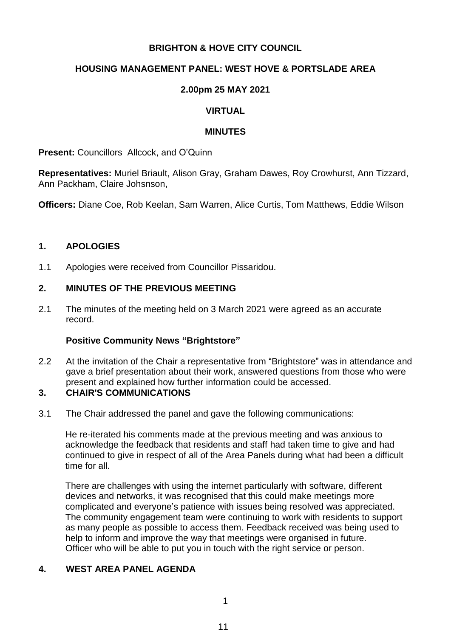## **BRIGHTON & HOVE CITY COUNCIL**

# **HOUSING MANAGEMENT PANEL: WEST HOVE & PORTSLADE AREA**

### **2.00pm 25 MAY 2021**

## **VIRTUAL**

#### **MINUTES**

**Present: Councillors Allcock, and O'Quinn** 

**Representatives:** Muriel Briault, Alison Gray, Graham Dawes, Roy Crowhurst, Ann Tizzard, Ann Packham, Claire Johsnson,

**Officers:** Diane Coe, Rob Keelan, Sam Warren, Alice Curtis, Tom Matthews, Eddie Wilson

#### **1. APOLOGIES**

1.1 Apologies were received from Councillor Pissaridou.

#### **2. MINUTES OF THE PREVIOUS MEETING**

2.1 The minutes of the meeting held on 3 March 2021 were agreed as an accurate record.

#### **Positive Community News "Brightstore"**

2.2 At the invitation of the Chair a representative from "Brightstore" was in attendance and gave a brief presentation about their work, answered questions from those who were present and explained how further information could be accessed.

#### **3. CHAIR'S COMMUNICATIONS**

3.1 The Chair addressed the panel and gave the following communications:

He re-iterated his comments made at the previous meeting and was anxious to acknowledge the feedback that residents and staff had taken time to give and had continued to give in respect of all of the Area Panels during what had been a difficult time for all.

There are challenges with using the internet particularly with software, different devices and networks, it was recognised that this could make meetings more complicated and everyone's patience with issues being resolved was appreciated. The community engagement team were continuing to work with residents to support as many people as possible to access them. Feedback received was being used to help to inform and improve the way that meetings were organised in future. Officer who will be able to put you in touch with the right service or person.

### **4. WEST AREA PANEL AGENDA**

1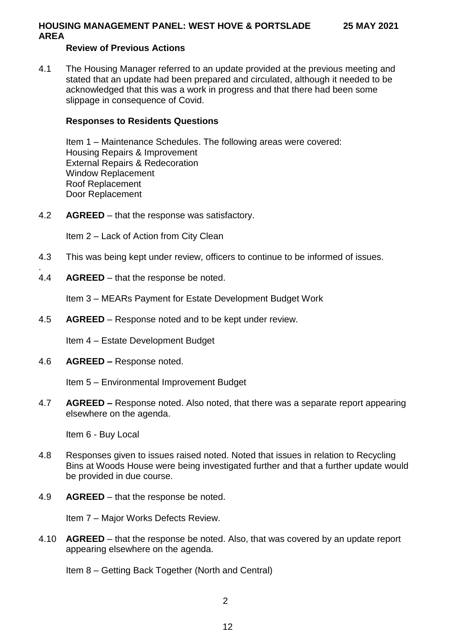# **Review of Previous Actions**

4.1 The Housing Manager referred to an update provided at the previous meeting and stated that an update had been prepared and circulated, although it needed to be acknowledged that this was a work in progress and that there had been some slippage in consequence of Covid.

#### **Responses to Residents Questions**

Item 1 – Maintenance Schedules. The following areas were covered: Housing Repairs & Improvement External Repairs & Redecoration Window Replacement Roof Replacement Door Replacement

4.2 **AGREED** – that the response was satisfactory.

Item 2 – Lack of Action from City Clean

- 4.3 This was being kept under review, officers to continue to be informed of issues.
- . 4.4 **AGREED** – that the response be noted.

Item 3 – MEARs Payment for Estate Development Budget Work

4.5 **AGREED** – Response noted and to be kept under review.

Item 4 – Estate Development Budget

4.6 **AGREED –** Response noted.

Item 5 – Environmental Improvement Budget

4.7 **AGREED –** Response noted. Also noted, that there was a separate report appearing elsewhere on the agenda.

Item 6 - Buy Local

- 4.8 Responses given to issues raised noted. Noted that issues in relation to Recycling Bins at Woods House were being investigated further and that a further update would be provided in due course.
- 4.9 **AGREED** that the response be noted.

Item 7 – Major Works Defects Review.

4.10 **AGREED** – that the response be noted. Also, that was covered by an update report appearing elsewhere on the agenda.

Item 8 – Getting Back Together (North and Central)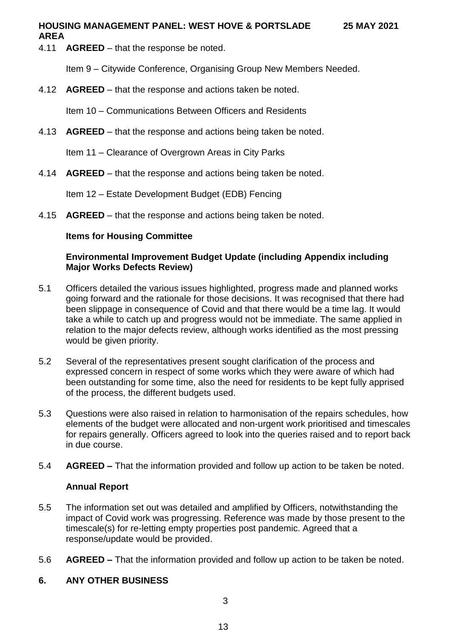4.11 **AGREED** – that the response be noted.

**AREA**

Item 9 – Citywide Conference, Organising Group New Members Needed.

4.12 **AGREED** – that the response and actions taken be noted.

Item 10 – Communications Between Officers and Residents

4.13 **AGREED** – that the response and actions being taken be noted.

Item 11 – Clearance of Overgrown Areas in City Parks

4.14 **AGREED** – that the response and actions being taken be noted.

Item 12 – Estate Development Budget (EDB) Fencing

4.15 **AGREED** – that the response and actions being taken be noted.

# **Items for Housing Committee**

# **Environmental Improvement Budget Update (including Appendix including Major Works Defects Review)**

- 5.1 Officers detailed the various issues highlighted, progress made and planned works going forward and the rationale for those decisions. It was recognised that there had been slippage in consequence of Covid and that there would be a time lag. It would take a while to catch up and progress would not be immediate. The same applied in relation to the major defects review, although works identified as the most pressing would be given priority.
- 5.2 Several of the representatives present sought clarification of the process and expressed concern in respect of some works which they were aware of which had been outstanding for some time, also the need for residents to be kept fully apprised of the process, the different budgets used.
- 5.3 Questions were also raised in relation to harmonisation of the repairs schedules, how elements of the budget were allocated and non-urgent work prioritised and timescales for repairs generally. Officers agreed to look into the queries raised and to report back in due course.
- 5.4 **AGREED –** That the information provided and follow up action to be taken be noted.

# **Annual Report**

- 5.5 The information set out was detailed and amplified by Officers, notwithstanding the impact of Covid work was progressing. Reference was made by those present to the timescale(s) for re-letting empty properties post pandemic. Agreed that a response/update would be provided.
- 5.6 **AGREED –** That the information provided and follow up action to be taken be noted.

# **6. ANY OTHER BUSINESS**